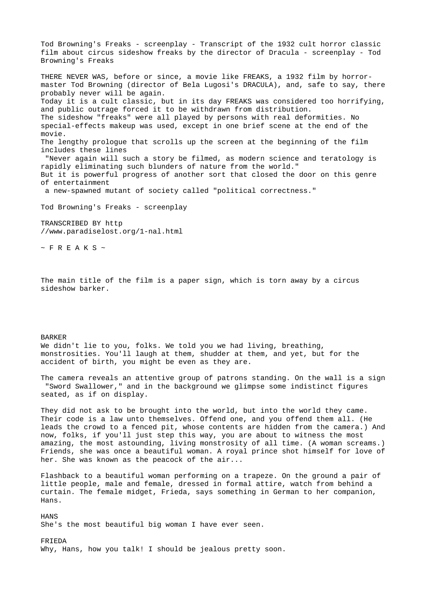Tod Browning's Freaks - screenplay - Transcript of the 1932 cult horror classic film about circus sideshow freaks by the director of Dracula - screenplay - Tod Browning's Freaks THERE NEVER WAS, before or since, a movie like FREAKS, a 1932 film by horrormaster Tod Browning (director of Bela Lugosi's DRACULA), and, safe to say, there probably never will be again. Today it is a cult classic, but in its day FREAKS was considered too horrifying, and public outrage forced it to be withdrawn from distribution. The sideshow "freaks" were all played by persons with real deformities. No special-effects makeup was used, except in one brief scene at the end of the movie. The lengthy prologue that scrolls up the screen at the beginning of the film includes these lines "Never again will such a story be filmed, as modern science and teratology is rapidly eliminating such blunders of nature from the world." But it is powerful progress of another sort that closed the door on this genre of entertainment a new-spawned mutant of society called "political correctness."

Tod Browning's Freaks - screenplay

TRANSCRIBED BY http //www.paradiselost.org/1-nal.html

 $~\sim$  F R E A K S  $~\sim$ 

The main title of the film is a paper sign, which is torn away by a circus sideshow barker.

## BARKER

We didn't lie to you, folks. We told you we had living, breathing, monstrosities. You'll laugh at them, shudder at them, and yet, but for the accident of birth, you might be even as they are.

The camera reveals an attentive group of patrons standing. On the wall is a sign "Sword Swallower," and in the background we glimpse some indistinct figures seated, as if on display.

They did not ask to be brought into the world, but into the world they came. Their code is a law unto themselves. Offend one, and you offend them all. (He leads the crowd to a fenced pit, whose contents are hidden from the camera.) And now, folks, if you'll just step this way, you are about to witness the most amazing, the most astounding, living monstrosity of all time. (A woman screams.) Friends, she was once a beautiful woman. A royal prince shot himself for love of her. She was known as the peacock of the air...

Flashback to a beautiful woman performing on a trapeze. On the ground a pair of little people, male and female, dressed in formal attire, watch from behind a curtain. The female midget, Frieda, says something in German to her companion, Hans.

**HANS** She's the most beautiful big woman I have ever seen.

FRIEDA Why, Hans, how you talk! I should be jealous pretty soon.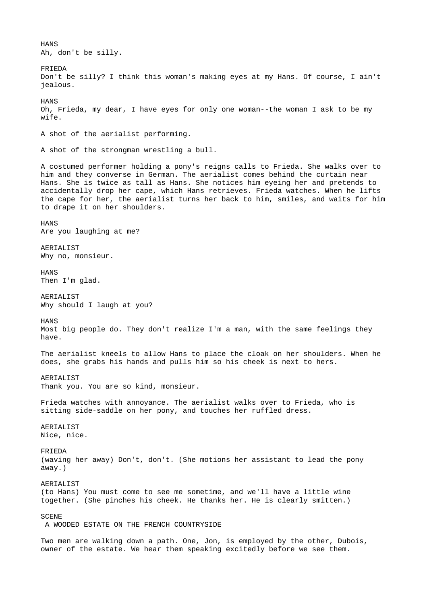**HANS** Ah, don't be silly. FRIEDA Don't be silly? I think this woman's making eyes at my Hans. Of course, I ain't jealous. **HANS** Oh, Frieda, my dear, I have eyes for only one woman--the woman I ask to be my wife. A shot of the aerialist performing. A shot of the strongman wrestling a bull. A costumed performer holding a pony's reigns calls to Frieda. She walks over to him and they converse in German. The aerialist comes behind the curtain near Hans. She is twice as tall as Hans. She notices him eyeing her and pretends to accidentally drop her cape, which Hans retrieves. Frieda watches. When he lifts the cape for her, the aerialist turns her back to him, smiles, and waits for him to drape it on her shoulders. **HANS** Are you laughing at me? AERIALIST Why no, monsieur. **HANS** Then I'm glad. AERIALIST Why should I laugh at you? HANS Most big people do. They don't realize I'm a man, with the same feelings they have. The aerialist kneels to allow Hans to place the cloak on her shoulders. When he does, she grabs his hands and pulls him so his cheek is next to hers. AERIALIST Thank you. You are so kind, monsieur. Frieda watches with annoyance. The aerialist walks over to Frieda, who is sitting side-saddle on her pony, and touches her ruffled dress. AERIALIST Nice, nice. FRIEDA (waving her away) Don't, don't. (She motions her assistant to lead the pony away.) **AERTALIST** (to Hans) You must come to see me sometime, and we'll have a little wine together. (She pinches his cheek. He thanks her. He is clearly smitten.) SCENE A WOODED ESTATE ON THE FRENCH COUNTRYSIDE Two men are walking down a path. One, Jon, is employed by the other, Dubois, owner of the estate. We hear them speaking excitedly before we see them.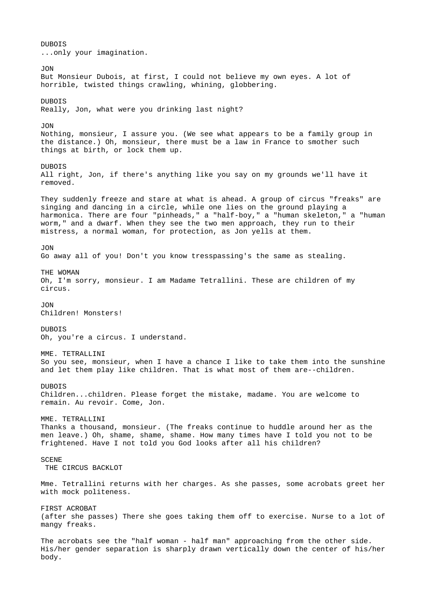DUBOIS ...only your imagination. JON But Monsieur Dubois, at first, I could not believe my own eyes. A lot of horrible, twisted things crawling, whining, globbering. DUBOIS Really, Jon, what were you drinking last night? JON Nothing, monsieur, I assure you. (We see what appears to be a family group in the distance.) Oh, monsieur, there must be a law in France to smother such things at birth, or lock them up. DUBOIS All right, Jon, if there's anything like you say on my grounds we'll have it removed. They suddenly freeze and stare at what is ahead. A group of circus "freaks" are singing and dancing in a circle, while one lies on the ground playing a harmonica. There are four "pinheads," a "half-boy," a "human skeleton," a "human worm," and a dwarf. When they see the two men approach, they run to their mistress, a normal woman, for protection, as Jon yells at them. JON Go away all of you! Don't you know tresspassing's the same as stealing. THE WOMAN Oh, I'm sorry, monsieur. I am Madame Tetrallini. These are children of my circus. JON Children! Monsters! **DUROTS** Oh, you're a circus. I understand. MME. TETRALLINI So you see, monsieur, when I have a chance I like to take them into the sunshine and let them play like children. That is what most of them are--children. DUBOIS Children...children. Please forget the mistake, madame. You are welcome to remain. Au revoir. Come, Jon. MME. TETRALLINI Thanks a thousand, monsieur. (The freaks continue to huddle around her as the men leave.) Oh, shame, shame, shame. How many times have I told you not to be frightened. Have I not told you God looks after all his children? SCENE THE CIRCUS BACKLOT Mme. Tetrallini returns with her charges. As she passes, some acrobats greet her with mock politeness. FIRST ACROBAT (after she passes) There she goes taking them off to exercise. Nurse to a lot of mangy freaks. The acrobats see the "half woman - half man" approaching from the other side. His/her gender separation is sharply drawn vertically down the center of his/her body.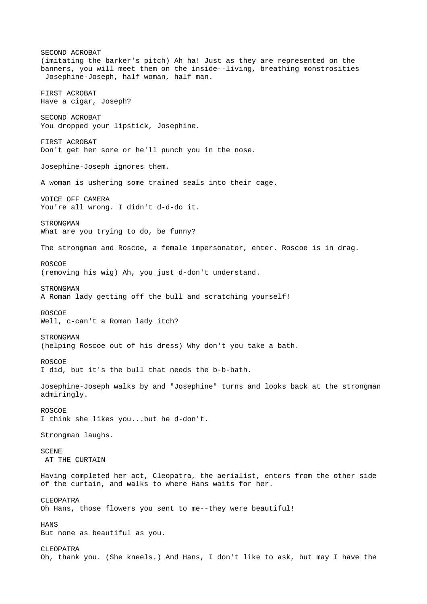SECOND ACROBAT (imitating the barker's pitch) Ah ha! Just as they are represented on the banners, you will meet them on the inside--living, breathing monstrosities Josephine-Joseph, half woman, half man. FIRST ACROBAT Have a cigar, Joseph? SECOND ACROBAT You dropped your lipstick, Josephine. FIRST ACROBAT Don't get her sore or he'll punch you in the nose. Josephine-Joseph ignores them. A woman is ushering some trained seals into their cage. VOICE OFF CAMERA You're all wrong. I didn't d-d-do it. STRONGMAN What are you trying to do, be funny? The strongman and Roscoe, a female impersonator, enter. Roscoe is in drag. ROSCOE (removing his wig) Ah, you just d-don't understand. **STRONGMAN** A Roman lady getting off the bull and scratching yourself! ROSCOE Well, c-can't a Roman lady itch? **STRONGMAN** (helping Roscoe out of his dress) Why don't you take a bath. ROSCOE I did, but it's the bull that needs the b-b-bath. Josephine-Joseph walks by and "Josephine" turns and looks back at the strongman admiringly. ROSCOE I think she likes you...but he d-don't. Strongman laughs. SCENE AT THE CURTAIN Having completed her act, Cleopatra, the aerialist, enters from the other side of the curtain, and walks to where Hans waits for her. CLEOPATRA Oh Hans, those flowers you sent to me--they were beautiful! **HANS** But none as beautiful as you. CLEOPATRA Oh, thank you. (She kneels.) And Hans, I don't like to ask, but may I have the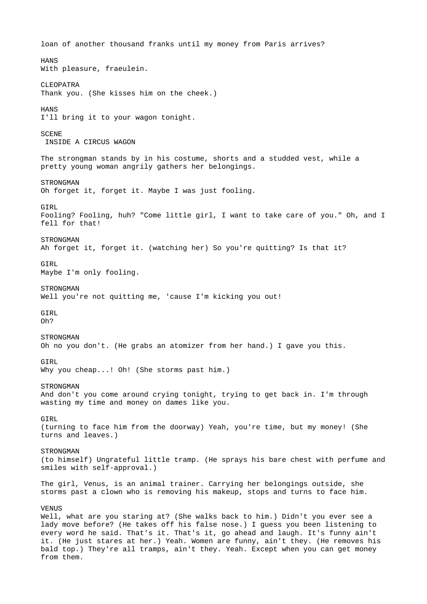loan of another thousand franks until my money from Paris arrives? **HANS** With pleasure, fraeulein. CLEOPATRA Thank you. (She kisses him on the cheek.) **HANS** I'll bring it to your wagon tonight. **SCENE**  INSIDE A CIRCUS WAGON The strongman stands by in his costume, shorts and a studded vest, while a pretty young woman angrily gathers her belongings. STRONGMAN Oh forget it, forget it. Maybe I was just fooling. **GTRL** Fooling? Fooling, huh? "Come little girl, I want to take care of you." Oh, and I fell for that! **STRONGMAN** Ah forget it, forget it. (watching her) So you're quitting? Is that it? **GTRL** Maybe I'm only fooling. **STRONGMAN** Well you're not quitting me, 'cause I'm kicking you out! **GTRL** Oh? **STRONGMAN** Oh no you don't. (He grabs an atomizer from her hand.) I gave you this. **GTRL** Why you cheap...! Oh! (She storms past him.) **STRONGMAN** And don't you come around crying tonight, trying to get back in. I'm through wasting my time and money on dames like you. **GTRL** (turning to face him from the doorway) Yeah, you're time, but my money! (She turns and leaves.) **STRONGMAN** (to himself) Ungrateful little tramp. (He sprays his bare chest with perfume and smiles with self-approval.) The girl, Venus, is an animal trainer. Carrying her belongings outside, she storms past a clown who is removing his makeup, stops and turns to face him. VENUS Well, what are you staring at? (She walks back to him.) Didn't you ever see a lady move before? (He takes off his false nose.) I guess you been listening to every word he said. That's it. That's it, go ahead and laugh. It's funny ain't it. (He just stares at her.) Yeah. Women are funny, ain't they. (He removes his bald top.) They're all tramps, ain't they. Yeah. Except when you can get money from them.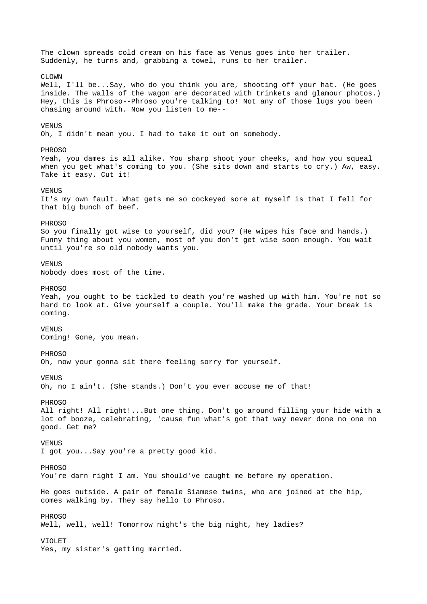The clown spreads cold cream on his face as Venus goes into her trailer. Suddenly, he turns and, grabbing a towel, runs to her trailer. CLOWN Well, I'll be...Say, who do you think you are, shooting off your hat. (He goes inside. The walls of the wagon are decorated with trinkets and glamour photos.) Hey, this is Phroso--Phroso you're talking to! Not any of those lugs you been chasing around with. Now you listen to me-- **VENUS** Oh, I didn't mean you. I had to take it out on somebody. PHROSO Yeah, you dames is all alike. You sharp shoot your cheeks, and how you squeal when you get what's coming to you. (She sits down and starts to cry.) Aw, easy. Take it easy. Cut it! **VENUS** It's my own fault. What gets me so cockeyed sore at myself is that I fell for that big bunch of beef. PHROSO So you finally got wise to yourself, did you? (He wipes his face and hands.) Funny thing about you women, most of you don't get wise soon enough. You wait until you're so old nobody wants you. VENUS Nobody does most of the time. **PHROSO** Yeah, you ought to be tickled to death you're washed up with him. You're not so hard to look at. Give yourself a couple. You'll make the grade. Your break is coming. VENUS Coming! Gone, you mean. PHROSO Oh, now your gonna sit there feeling sorry for yourself. VENUS Oh, no I ain't. (She stands.) Don't you ever accuse me of that! PHROSO All right! All right!...But one thing. Don't go around filling your hide with a lot of booze, celebrating, 'cause fun what's got that way never done no one no good. Get me? VENUS I got you...Say you're a pretty good kid. PHROSO You're darn right I am. You should've caught me before my operation. He goes outside. A pair of female Siamese twins, who are joined at the hip, comes walking by. They say hello to Phroso. PHROSO Well, well, well! Tomorrow night's the big night, hey ladies? VIOLET Yes, my sister's getting married.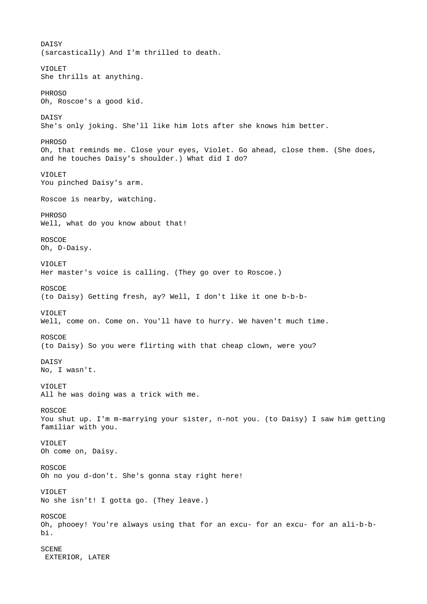DAISY (sarcastically) And I'm thrilled to death. VIOLET She thrills at anything. PHROSO Oh, Roscoe's a good kid. DAISY She's only joking. She'll like him lots after she knows him better. PHROSO Oh, that reminds me. Close your eyes, Violet. Go ahead, close them. (She does, and he touches Daisy's shoulder.) What did I do? VIOLET You pinched Daisy's arm. Roscoe is nearby, watching. PHROSO Well, what do you know about that! ROSCOE Oh, D-Daisy. VIOLET Her master's voice is calling. (They go over to Roscoe.) ROSCOE (to Daisy) Getting fresh, ay? Well, I don't like it one b-b-b-VIOLET Well, come on. Come on. You'll have to hurry. We haven't much time. ROSCOE (to Daisy) So you were flirting with that cheap clown, were you? DAISY No, I wasn't. VIOLET All he was doing was a trick with me. ROSCOE You shut up. I'm m-marrying your sister, n-not you. (to Daisy) I saw him getting familiar with you. VIOLET Oh come on, Daisy. ROSCOE Oh no you d-don't. She's gonna stay right here! VIOLET No she isn't! I gotta go. (They leave.) ROSCOE Oh, phooey! You're always using that for an excu- for an excu- for an ali-b-bbi. **SCENE** EXTERIOR, LATER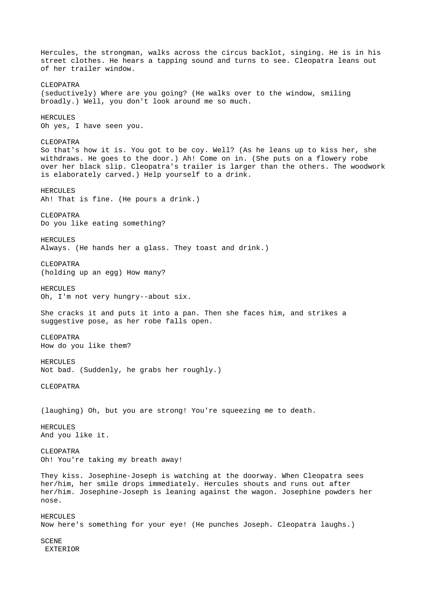Hercules, the strongman, walks across the circus backlot, singing. He is in his street clothes. He hears a tapping sound and turns to see. Cleopatra leans out of her trailer window. CLEOPATRA (seductively) Where are you going? (He walks over to the window, smiling broadly.) Well, you don't look around me so much. HERCULES Oh yes, I have seen you. CLEOPATRA So that's how it is. You got to be coy. Well? (As he leans up to kiss her, she withdraws. He goes to the door.) Ah! Come on in. (She puts on a flowery robe over her black slip. Cleopatra's trailer is larger than the others. The woodwork is elaborately carved.) Help yourself to a drink. HERCULES Ah! That is fine. (He pours a drink.) CLEOPATRA Do you like eating something? HERCULES Always. (He hands her a glass. They toast and drink.) CLEOPATRA (holding up an egg) How many? HERCULES Oh, I'm not very hungry--about six. She cracks it and puts it into a pan. Then she faces him, and strikes a suggestive pose, as her robe falls open. CLEOPATRA How do you like them? HERCULES Not bad. (Suddenly, he grabs her roughly.) CLEOPATRA (laughing) Oh, but you are strong! You're squeezing me to death. **HERCULES** And you like it. CLEOPATRA Oh! You're taking my breath away! They kiss. Josephine-Joseph is watching at the doorway. When Cleopatra sees her/him, her smile drops immediately. Hercules shouts and runs out after her/him. Josephine-Joseph is leaning against the wagon. Josephine powders her nose. HERCULES Now here's something for your eye! (He punches Joseph. Cleopatra laughs.) **SCENE** EXTERIOR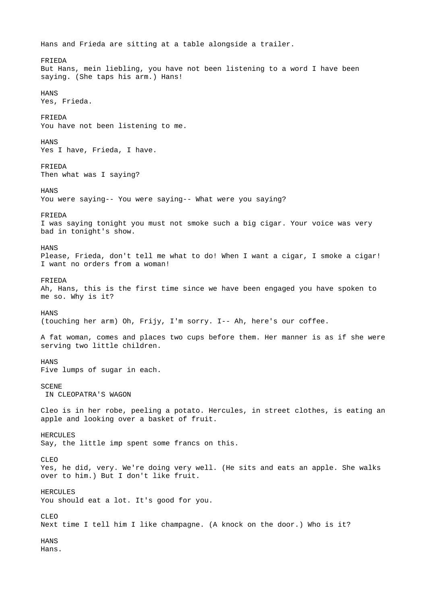Hans and Frieda are sitting at a table alongside a trailer. FRIEDA But Hans, mein liebling, you have not been listening to a word I have been saying. (She taps his arm.) Hans! **HANS** Yes, Frieda. FRIEDA You have not been listening to me. **HANS** Yes I have, Frieda, I have. FRIEDA Then what was I saying? **HANS** You were saying-- You were saying-- What were you saying? FRIEDA I was saying tonight you must not smoke such a big cigar. Your voice was very bad in tonight's show. **HANS** Please, Frieda, don't tell me what to do! When I want a cigar, I smoke a cigar! I want no orders from a woman! FRIEDA Ah, Hans, this is the first time since we have been engaged you have spoken to me so. Why is it? **HANS** (touching her arm) Oh, Frijy, I'm sorry. I-- Ah, here's our coffee. A fat woman, comes and places two cups before them. Her manner is as if she were serving two little children. HANS Five lumps of sugar in each. **SCENE**  IN CLEOPATRA'S WAGON Cleo is in her robe, peeling a potato. Hercules, in street clothes, is eating an apple and looking over a basket of fruit. **HERCULES** Say, the little imp spent some francs on this. CLEO Yes, he did, very. We're doing very well. (He sits and eats an apple. She walks over to him.) But I don't like fruit. **HERCULES** You should eat a lot. It's good for you. CLEO Next time I tell him I like champagne. (A knock on the door.) Who is it? **HANS** Hans.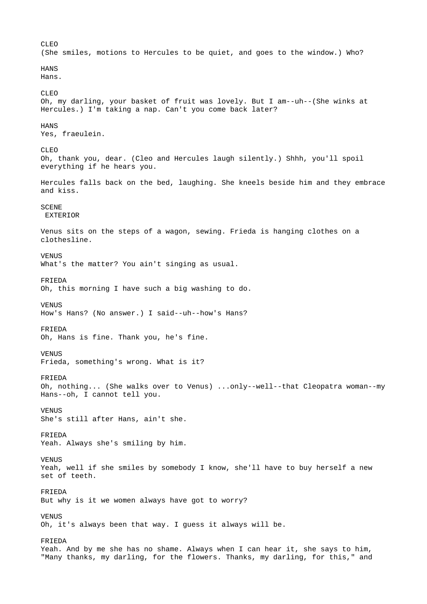CLEO (She smiles, motions to Hercules to be quiet, and goes to the window.) Who? **HANS** Hans. CLEO Oh, my darling, your basket of fruit was lovely. But I am--uh--(She winks at Hercules.) I'm taking a nap. Can't you come back later? **HANS** Yes, fraeulein. CLEO Oh, thank you, dear. (Cleo and Hercules laugh silently.) Shhh, you'll spoil everything if he hears you. Hercules falls back on the bed, laughing. She kneels beside him and they embrace and kiss. **SCENE**  EXTERIOR Venus sits on the steps of a wagon, sewing. Frieda is hanging clothes on a clothesline. VENUS What's the matter? You ain't singing as usual. FRIEDA Oh, this morning I have such a big washing to do. VENUS How's Hans? (No answer.) I said--uh--how's Hans? FRIEDA Oh, Hans is fine. Thank you, he's fine. VENUS Frieda, something's wrong. What is it? FRIEDA Oh, nothing... (She walks over to Venus) ...only--well--that Cleopatra woman--my Hans--oh, I cannot tell you. VENUS She's still after Hans, ain't she. FRIEDA Yeah. Always she's smiling by him. **VENUS** Yeah, well if she smiles by somebody I know, she'll have to buy herself a new set of teeth. FRIEDA But why is it we women always have got to worry? **VENUS** Oh, it's always been that way. I guess it always will be. FRIEDA Yeah. And by me she has no shame. Always when I can hear it, she says to him, "Many thanks, my darling, for the flowers. Thanks, my darling, for this," and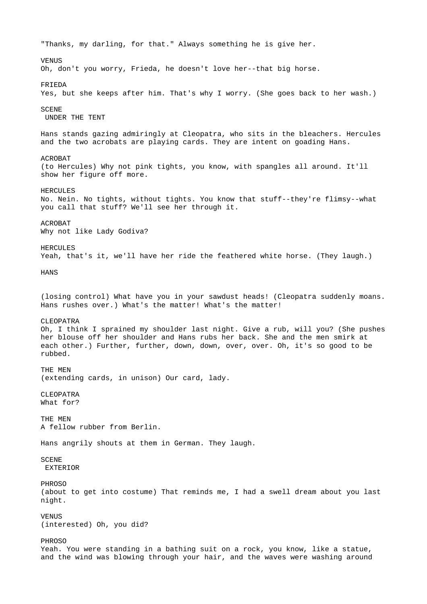"Thanks, my darling, for that." Always something he is give her. **VENUS** Oh, don't you worry, Frieda, he doesn't love her--that big horse. FRIEDA Yes, but she keeps after him. That's why I worry. (She goes back to her wash.) SCENE UNDER THE TENT Hans stands gazing admiringly at Cleopatra, who sits in the bleachers. Hercules and the two acrobats are playing cards. They are intent on goading Hans. ACROBAT (to Hercules) Why not pink tights, you know, with spangles all around. It'll show her figure off more. HERCULES No. Nein. No tights, without tights. You know that stuff--they're flimsy--what you call that stuff? We'll see her through it. ACROBAT Why not like Lady Godiva? **HERCULES** Yeah, that's it, we'll have her ride the feathered white horse. (They laugh.) **HANS** (losing control) What have you in your sawdust heads! (Cleopatra suddenly moans. Hans rushes over.) What's the matter! What's the matter! CLEOPATRA Oh, I think I sprained my shoulder last night. Give a rub, will you? (She pushes her blouse off her shoulder and Hans rubs her back. She and the men smirk at each other.) Further, further, down, down, over, over. Oh, it's so good to be rubbed. THE MEN (extending cards, in unison) Our card, lady. CLEOPATRA What for? THE MEN A fellow rubber from Berlin. Hans angrily shouts at them in German. They laugh. SCENE EXTERIOR PHROSO (about to get into costume) That reminds me, I had a swell dream about you last night. **VENUS** (interested) Oh, you did? PHROSO Yeah. You were standing in a bathing suit on a rock, you know, like a statue, and the wind was blowing through your hair, and the waves were washing around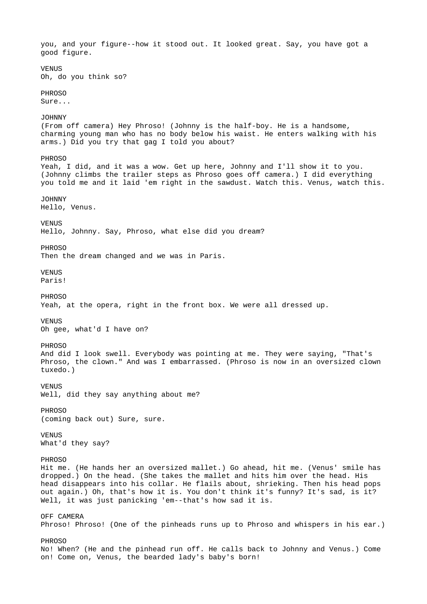you, and your figure--how it stood out. It looked great. Say, you have got a good figure. VENUS Oh, do you think so? PHROSO Sure... JOHNNY (From off camera) Hey Phroso! (Johnny is the half-boy. He is a handsome, charming young man who has no body below his waist. He enters walking with his arms.) Did you try that gag I told you about? PHROSO Yeah, I did, and it was a wow. Get up here, Johnny and I'll show it to you. (Johnny climbs the trailer steps as Phroso goes off camera.) I did everything you told me and it laid 'em right in the sawdust. Watch this. Venus, watch this. JOHNNY Hello, Venus. **VENUS** Hello, Johnny. Say, Phroso, what else did you dream? PHROSO Then the dream changed and we was in Paris. VENUS Paris! PHROSO Yeah, at the opera, right in the front box. We were all dressed up. VENUS Oh gee, what'd I have on? PHROSO And did I look swell. Everybody was pointing at me. They were saying, "That's Phroso, the clown." And was I embarrassed. (Phroso is now in an oversized clown tuxedo.) VENUS Well, did they say anything about me? PHROSO (coming back out) Sure, sure. VENUS What'd they say? **PHROSO** Hit me. (He hands her an oversized mallet.) Go ahead, hit me. (Venus' smile has dropped.) On the head. (She takes the mallet and hits him over the head. His head disappears into his collar. He flails about, shrieking. Then his head pops out again.) Oh, that's how it is. You don't think it's funny? It's sad, is it? Well, it was just panicking 'em--that's how sad it is. OFF CAMERA Phroso! Phroso! (One of the pinheads runs up to Phroso and whispers in his ear.) PHROSO No! When? (He and the pinhead run off. He calls back to Johnny and Venus.) Come on! Come on, Venus, the bearded lady's baby's born!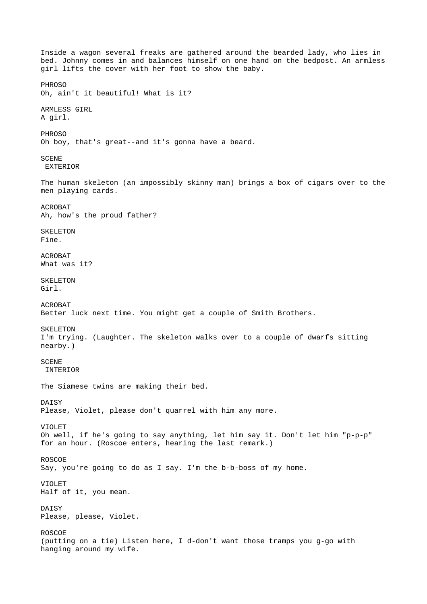Inside a wagon several freaks are gathered around the bearded lady, who lies in bed. Johnny comes in and balances himself on one hand on the bedpost. An armless girl lifts the cover with her foot to show the baby. PHROSO Oh, ain't it beautiful! What is it? ARMLESS GIRL A girl. PHROSO Oh boy, that's great--and it's gonna have a beard. **SCENE**  EXTERIOR The human skeleton (an impossibly skinny man) brings a box of cigars over to the men playing cards. ACROBAT Ah, how's the proud father? **SKELETON** Fine. ACROBAT What was it? SKELETON Girl. ACROBAT Better luck next time. You might get a couple of Smith Brothers. SKELETON I'm trying. (Laughter. The skeleton walks over to a couple of dwarfs sitting nearby.) **SCENE**  INTERIOR The Siamese twins are making their bed. DAISY Please, Violet, please don't quarrel with him any more. VIOLET Oh well, if he's going to say anything, let him say it. Don't let him "p-p-p" for an hour. (Roscoe enters, hearing the last remark.) ROSCOE Say, you're going to do as I say. I'm the b-b-boss of my home. VIOLET Half of it, you mean. DAISY Please, please, Violet. ROSCOE (putting on a tie) Listen here, I d-don't want those tramps you g-go with hanging around my wife.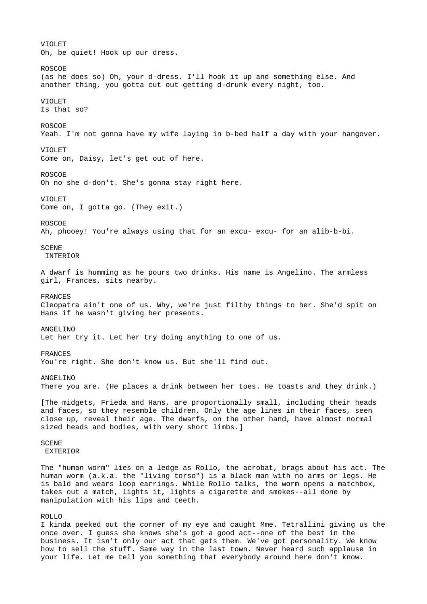VIOLET Oh, be quiet! Hook up our dress. ROSCOE (as he does so) Oh, your d-dress. I'll hook it up and something else. And another thing, you gotta cut out getting d-drunk every night, too. VIOLET Is that so? ROSCOE Yeah. I'm not gonna have my wife laying in b-bed half a day with your hangover. VIOLET Come on, Daisy, let's get out of here. ROSCOE Oh no she d-don't. She's gonna stay right here. VIOLET Come on, I gotta go. (They exit.) ROSCOE Ah, phooey! You're always using that for an excu- excu- for an alib-b-bi. **SCENE**  INTERIOR A dwarf is humming as he pours two drinks. His name is Angelino. The armless girl, Frances, sits nearby. FRANCES Cleopatra ain't one of us. Why, we're just filthy things to her. She'd spit on Hans if he wasn't giving her presents. ANGELINO Let her try it. Let her try doing anything to one of us. FRANCES You're right. She don't know us. But she'll find out. ANGELINO There you are. (He places a drink between her toes. He toasts and they drink.) [The midgets, Frieda and Hans, are proportionally small, including their heads and faces, so they resemble children. Only the age lines in their faces, seen close up, reveal their age. The dwarfs, on the other hand, have almost normal sized heads and bodies, with very short limbs.] **SCENE**  EXTERIOR The "human worm" lies on a ledge as Rollo, the acrobat, brags about his act. The human worm (a.k.a. the "living torso") is a black man with no arms or legs. He is bald and wears loop earrings. While Rollo talks, the worm opens a matchbox, takes out a match, lights it, lights a cigarette and smokes--all done by manipulation with his lips and teeth. ROLLO I kinda peeked out the corner of my eye and caught Mme. Tetrallini giving us the once over. I guess she knows she's got a good act--one of the best in the

business. It isn't only our act that gets them. We've got personality. We know how to sell the stuff. Same way in the last town. Never heard such applause in your life. Let me tell you something that everybody around here don't know.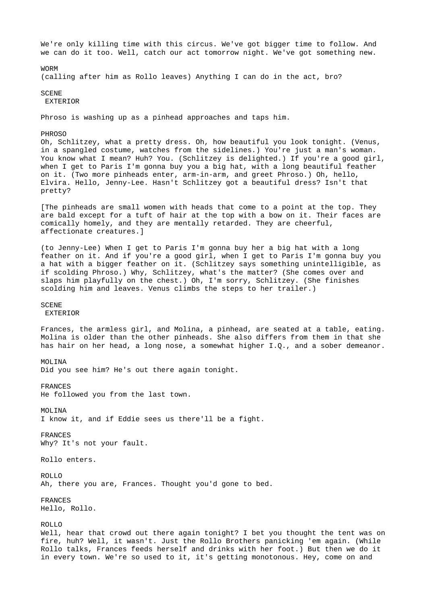We're only killing time with this circus. We've got bigger time to follow. And we can do it too. Well, catch our act tomorrow night. We've got something new.

WORM

(calling after him as Rollo leaves) Anything I can do in the act, bro?

**SCENE** 

EXTERIOR

Phroso is washing up as a pinhead approaches and taps him.

PHROSO

Oh, Schlitzey, what a pretty dress. Oh, how beautiful you look tonight. (Venus, in a spangled costume, watches from the sidelines.) You're just a man's woman. You know what I mean? Huh? You. (Schlitzey is delighted.) If you're a good girl, when I get to Paris I'm gonna buy you a big hat, with a long beautiful feather on it. (Two more pinheads enter, arm-in-arm, and greet Phroso.) Oh, hello, Elvira. Hello, Jenny-Lee. Hasn't Schlitzey got a beautiful dress? Isn't that pretty?

[The pinheads are small women with heads that come to a point at the top. They are bald except for a tuft of hair at the top with a bow on it. Their faces are comically homely, and they are mentally retarded. They are cheerful, affectionate creatures.]

(to Jenny-Lee) When I get to Paris I'm gonna buy her a big hat with a long feather on it. And if you're a good girl, when I get to Paris I'm gonna buy you a hat with a bigger feather on it. (Schlitzey says something unintelligible, as if scolding Phroso.) Why, Schlitzey, what's the matter? (She comes over and slaps him playfully on the chest.) Oh, I'm sorry, Schlitzey. (She finishes scolding him and leaves. Venus climbs the steps to her trailer.)

SCENE

**EXTERIOR** 

Frances, the armless girl, and Molina, a pinhead, are seated at a table, eating. Molina is older than the other pinheads. She also differs from them in that she has hair on her head, a long nose, a somewhat higher I.Q., and a sober demeanor.

MOL TNA

Did you see him? He's out there again tonight.

FRANCES

He followed you from the last town.

MOLINA

I know it, and if Eddie sees us there'll be a fight.

FRANCES

Why? It's not your fault.

Rollo enters.

ROLLO

Ah, there you are, Frances. Thought you'd gone to bed.

FRANCES

Hello, Rollo.

ROLLO

Well, hear that crowd out there again tonight? I bet you thought the tent was on fire, huh? Well, it wasn't. Just the Rollo Brothers panicking 'em again. (While Rollo talks, Frances feeds herself and drinks with her foot.) But then we do it in every town. We're so used to it, it's getting monotonous. Hey, come on and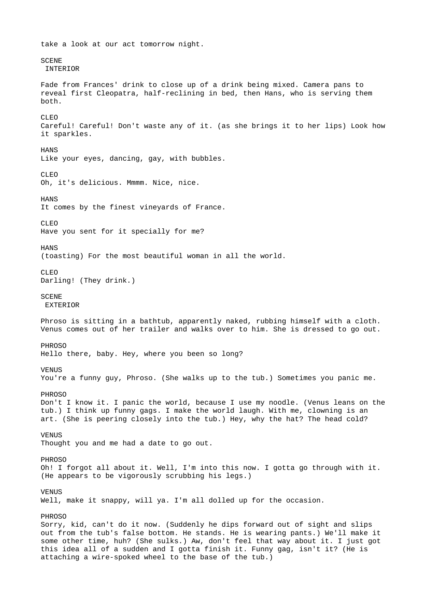take a look at our act tomorrow night. **SCENE**  INTERIOR Fade from Frances' drink to close up of a drink being mixed. Camera pans to reveal first Cleopatra, half-reclining in bed, then Hans, who is serving them both. CLEO Careful! Careful! Don't waste any of it. (as she brings it to her lips) Look how it sparkles. **HANS** Like your eyes, dancing, gay, with bubbles. CLEO Oh, it's delicious. Mmmm. Nice, nice. **HANS** It comes by the finest vineyards of France. CLEO Have you sent for it specially for me? **HANS** (toasting) For the most beautiful woman in all the world. CLEO Darling! (They drink.) **SCENE EXTERIOR** Phroso is sitting in a bathtub, apparently naked, rubbing himself with a cloth. Venus comes out of her trailer and walks over to him. She is dressed to go out. PHROSO Hello there, baby. Hey, where you been so long? **VENUS** You're a funny guy, Phroso. (She walks up to the tub.) Sometimes you panic me. PHROSO Don't I know it. I panic the world, because I use my noodle. (Venus leans on the tub.) I think up funny gags. I make the world laugh. With me, clowning is an art. (She is peering closely into the tub.) Hey, why the hat? The head cold? **VENUS** Thought you and me had a date to go out. PHROSO Oh! I forgot all about it. Well, I'm into this now. I gotta go through with it. (He appears to be vigorously scrubbing his legs.) **VENUS** Well, make it snappy, will ya. I'm all dolled up for the occasion. PHROSO Sorry, kid, can't do it now. (Suddenly he dips forward out of sight and slips out from the tub's false bottom. He stands. He is wearing pants.) We'll make it some other time, huh? (She sulks.) Aw, don't feel that way about it. I just got this idea all of a sudden and I gotta finish it. Funny gag, isn't it? (He is attaching a wire-spoked wheel to the base of the tub.)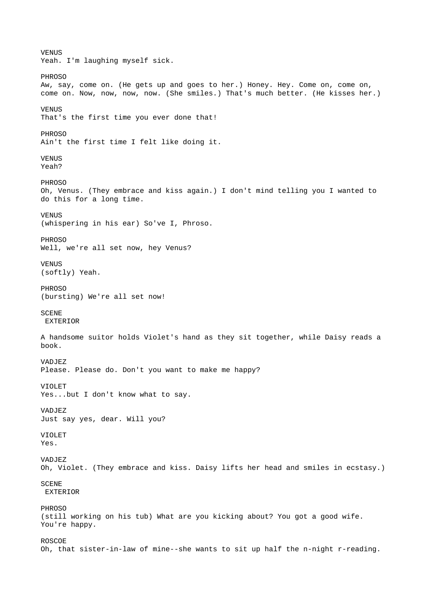VENUS Yeah. I'm laughing myself sick. PHROSO Aw, say, come on. (He gets up and goes to her.) Honey. Hey. Come on, come on, come on. Now, now, now, now. (She smiles.) That's much better. (He kisses her.) **VENUS** That's the first time you ever done that! **PHROSO** Ain't the first time I felt like doing it. VENUS Yeah? PHROSO Oh, Venus. (They embrace and kiss again.) I don't mind telling you I wanted to do this for a long time. VENUS (whispering in his ear) So've I, Phroso. PHROSO Well, we're all set now, hey Venus? VENUS (softly) Yeah. **PHROSO** (bursting) We're all set now! **SCENE**  EXTERIOR A handsome suitor holds Violet's hand as they sit together, while Daisy reads a book. VADJEZ Please. Please do. Don't you want to make me happy? VIOLET Yes...but I don't know what to say. VADJEZ Just say yes, dear. Will you? VIOLET Yes. VADJEZ Oh, Violet. (They embrace and kiss. Daisy lifts her head and smiles in ecstasy.) SCENE **EXTERIOR** PHROSO (still working on his tub) What are you kicking about? You got a good wife. You're happy. ROSCOE Oh, that sister-in-law of mine--she wants to sit up half the n-night r-reading.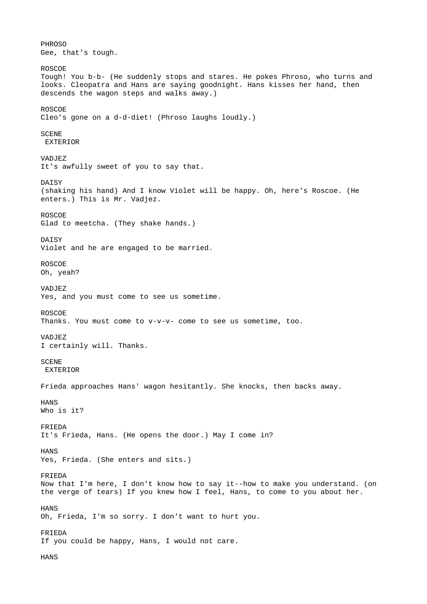PHROSO Gee, that's tough. ROSCOE Tough! You b-b- (He suddenly stops and stares. He pokes Phroso, who turns and looks. Cleopatra and Hans are saying goodnight. Hans kisses her hand, then descends the wagon steps and walks away.) ROSCOE Cleo's gone on a d-d-diet! (Phroso laughs loudly.) **SCENE**  EXTERIOR VADJEZ It's awfully sweet of you to say that. DAISY (shaking his hand) And I know Violet will be happy. Oh, here's Roscoe. (He enters.) This is Mr. Vadjez. ROSCOE Glad to meetcha. (They shake hands.) **DATSY** Violet and he are engaged to be married. ROSCOE Oh, yeah? VADJEZ Yes, and you must come to see us sometime. ROSCOE Thanks. You must come to v-v-v- come to see us sometime, too. VADJEZ I certainly will. Thanks. **SCENE**  EXTERIOR Frieda approaches Hans' wagon hesitantly. She knocks, then backs away. HANS Who is it? FRIEDA It's Frieda, Hans. (He opens the door.) May I come in? HANS Yes, Frieda. (She enters and sits.) FRIEDA Now that I'm here, I don't know how to say it--how to make you understand. (on the verge of tears) If you knew how I feel, Hans, to come to you about her. HANS Oh, Frieda, I'm so sorry. I don't want to hurt you. FRIEDA If you could be happy, Hans, I would not care. **HANS**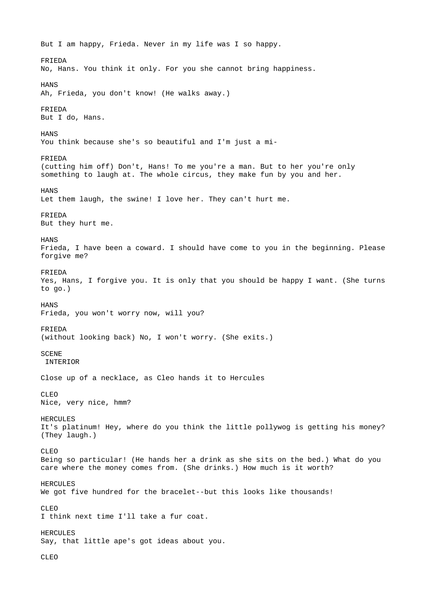But I am happy, Frieda. Never in my life was I so happy. FRIEDA No, Hans. You think it only. For you she cannot bring happiness. **HANS** Ah, Frieda, you don't know! (He walks away.) FRIEDA But I do, Hans. **HANS** You think because she's so beautiful and I'm just a mi-FRIEDA (cutting him off) Don't, Hans! To me you're a man. But to her you're only something to laugh at. The whole circus, they make fun by you and her. **HANS** Let them laugh, the swine! I love her. They can't hurt me. FRIEDA But they hurt me. **HANS** Frieda, I have been a coward. I should have come to you in the beginning. Please forgive me? FRIEDA Yes, Hans, I forgive you. It is only that you should be happy I want. (She turns to go.) **HANS** Frieda, you won't worry now, will you? FRIEDA (without looking back) No, I won't worry. (She exits.) **SCENE**  INTERIOR Close up of a necklace, as Cleo hands it to Hercules CLEO Nice, very nice, hmm? **HERCULES** It's platinum! Hey, where do you think the little pollywog is getting his money? (They laugh.) CLEO Being so particular! (He hands her a drink as she sits on the bed.) What do you care where the money comes from. (She drinks.) How much is it worth? HERCULES We got five hundred for the bracelet--but this looks like thousands! CLEO I think next time I'll take a fur coat. HERCULES Say, that little ape's got ideas about you. CLEO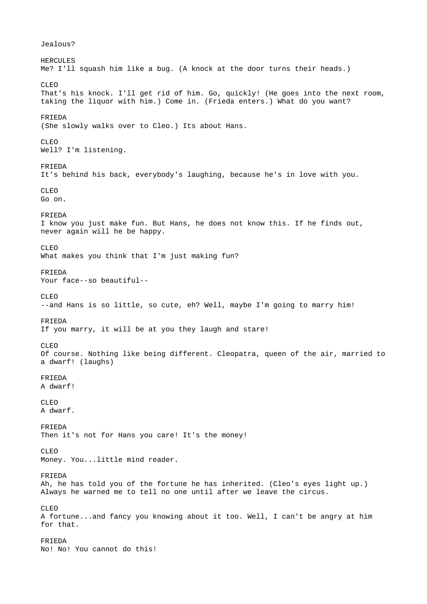Jealous? **HERCULES** Me? I'll squash him like a bug. (A knock at the door turns their heads.) CLEO That's his knock. I'll get rid of him. Go, quickly! (He goes into the next room, taking the liquor with him.) Come in. (Frieda enters.) What do you want? FRIEDA (She slowly walks over to Cleo.) Its about Hans. CLEO Well? I'm listening. FRIEDA It's behind his back, everybody's laughing, because he's in love with you. CLEO Go on. FRIEDA I know you just make fun. But Hans, he does not know this. If he finds out, never again will he be happy. CLEO What makes you think that I'm just making fun? FRIEDA Your face--so beautiful-- CLEO --and Hans is so little, so cute, eh? Well, maybe I'm going to marry him! FRIEDA If you marry, it will be at you they laugh and stare! CLEO Of course. Nothing like being different. Cleopatra, queen of the air, married to a dwarf! (laughs) FRIEDA A dwarf! CLEO A dwarf. FRIEDA Then it's not for Hans you care! It's the money! CLEO Money. You...little mind reader. FRIEDA Ah, he has told you of the fortune he has inherited. (Cleo's eyes light up.) Always he warned me to tell no one until after we leave the circus. CLEO A fortune...and fancy you knowing about it too. Well, I can't be angry at him for that. FRIEDA No! No! You cannot do this!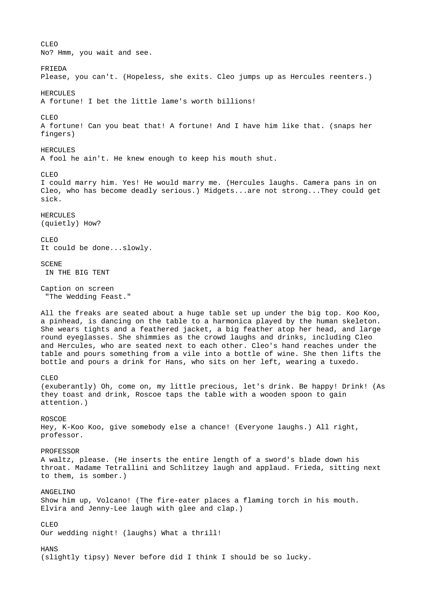CLEO No? Hmm, you wait and see. FRIEDA Please, you can't. (Hopeless, she exits. Cleo jumps up as Hercules reenters.) HERCULES A fortune! I bet the little lame's worth billions! CLEO A fortune! Can you beat that! A fortune! And I have him like that. (snaps her fingers) HERCULES A fool he ain't. He knew enough to keep his mouth shut. CLEO I could marry him. Yes! He would marry me. (Hercules laughs. Camera pans in on Cleo, who has become deadly serious.) Midgets...are not strong...They could get sick. **HERCULES** (quietly) How? CLEO It could be done...slowly. **SCENE**  IN THE BIG TENT Caption on screen "The Wedding Feast." All the freaks are seated about a huge table set up under the big top. Koo Koo, a pinhead, is dancing on the table to a harmonica played by the human skeleton. She wears tights and a feathered jacket, a big feather atop her head, and large round eyeglasses. She shimmies as the crowd laughs and drinks, including Cleo and Hercules, who are seated next to each other. Cleo's hand reaches under the table and pours something from a vile into a bottle of wine. She then lifts the bottle and pours a drink for Hans, who sits on her left, wearing a tuxedo. CLEO (exuberantly) Oh, come on, my little precious, let's drink. Be happy! Drink! (As they toast and drink, Roscoe taps the table with a wooden spoon to gain attention.) ROSCOE Hey, K-Koo Koo, give somebody else a chance! (Everyone laughs.) All right, professor. PROFESSOR A waltz, please. (He inserts the entire length of a sword's blade down his throat. Madame Tetrallini and Schlitzey laugh and applaud. Frieda, sitting next to them, is somber.) ANGELINO Show him up, Volcano! (The fire-eater places a flaming torch in his mouth. Elvira and Jenny-Lee laugh with glee and clap.) CLEO Our wedding night! (laughs) What a thrill! **HANS** (slightly tipsy) Never before did I think I should be so lucky.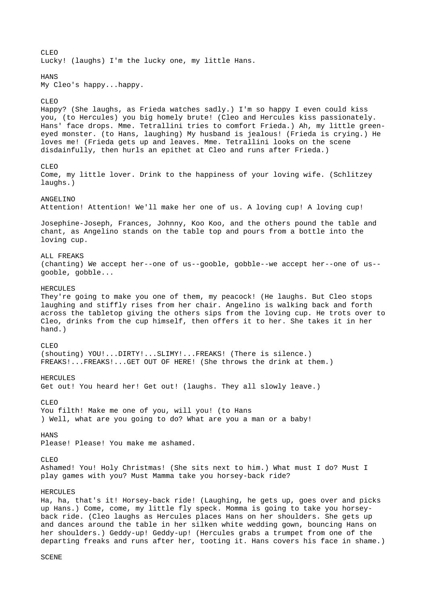CLEO Lucky! (laughs) I'm the lucky one, my little Hans. **HANS** My Cleo's happy...happy. CLEO Happy? (She laughs, as Frieda watches sadly.) I'm so happy I even could kiss you, (to Hercules) you big homely brute! (Cleo and Hercules kiss passionately. Hans' face drops. Mme. Tetrallini tries to comfort Frieda.) Ah, my little greeneyed monster. (to Hans, laughing) My husband is jealous! (Frieda is crying.) He loves me! (Frieda gets up and leaves. Mme. Tetrallini looks on the scene disdainfully, then hurls an epithet at Cleo and runs after Frieda.) CLEO Come, my little lover. Drink to the happiness of your loving wife. (Schlitzey laughs.) ANGELINO Attention! Attention! We'll make her one of us. A loving cup! A loving cup! Josephine-Joseph, Frances, Johnny, Koo Koo, and the others pound the table and chant, as Angelino stands on the table top and pours from a bottle into the loving cup. ALL FREAKS (chanting) We accept her--one of us--gooble, gobble--we accept her--one of us- gooble, gobble... HERCULES They're going to make you one of them, my peacock! (He laughs. But Cleo stops laughing and stiffly rises from her chair. Angelino is walking back and forth across the tabletop giving the others sips from the loving cup. He trots over to Cleo, drinks from the cup himself, then offers it to her. She takes it in her hand.) CLEO (shouting) YOU!...DIRTY!...SLIMY!...FREAKS! (There is silence.) FREAKS!...FREAKS!...GET OUT OF HERE! (She throws the drink at them.) HERCULES Get out! You heard her! Get out! (laughs. They all slowly leave.) CLEO You filth! Make me one of you, will you! (to Hans ) Well, what are you going to do? What are you a man or a baby! **HANS** Please! Please! You make me ashamed. CLEO Ashamed! You! Holy Christmas! (She sits next to him.) What must I do? Must I play games with you? Must Mamma take you horsey-back ride? HERCULES Ha, ha, that's it! Horsey-back ride! (Laughing, he gets up, goes over and picks up Hans.) Come, come, my little fly speck. Momma is going to take you horseyback ride. (Cleo laughs as Hercules places Hans on her shoulders. She gets up and dances around the table in her silken white wedding gown, bouncing Hans on her shoulders.) Geddy-up! Geddy-up! (Hercules grabs a trumpet from one of the departing freaks and runs after her, tooting it. Hans covers his face in shame.)

**SCENE**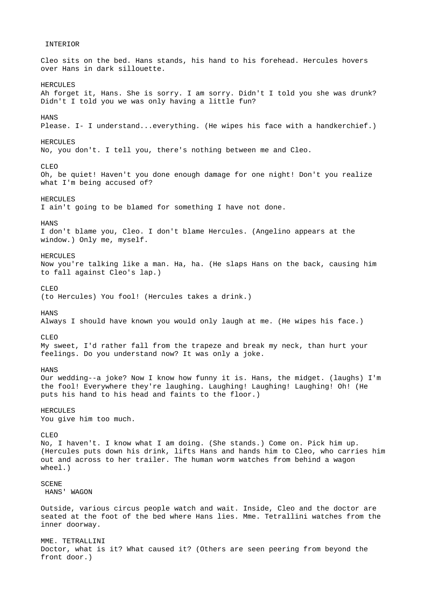## Cleo sits on the bed. Hans stands, his hand to his forehead. Hercules hovers over Hans in dark sillouette. **HERCULES** Ah forget it, Hans. She is sorry. I am sorry. Didn't I told you she was drunk? Didn't I told you we was only having a little fun? **HANS** Please. I- I understand...everything. (He wipes his face with a handkerchief.) **HERCULES** No, you don't. I tell you, there's nothing between me and Cleo. CLEO Oh, be quiet! Haven't you done enough damage for one night! Don't you realize what I'm being accused of? **HERCULES** I ain't going to be blamed for something I have not done. **HANS** I don't blame you, Cleo. I don't blame Hercules. (Angelino appears at the window.) Only me, myself. HERCULES. Now you're talking like a man. Ha, ha. (He slaps Hans on the back, causing him to fall against Cleo's lap.) CLEO (to Hercules) You fool! (Hercules takes a drink.) **HANS** Always I should have known you would only laugh at me. (He wipes his face.) CLEO My sweet, I'd rather fall from the trapeze and break my neck, than hurt your feelings. Do you understand now? It was only a joke. **HANS** Our wedding--a joke? Now I know how funny it is. Hans, the midget. (laughs) I'm the fool! Everywhere they're laughing. Laughing! Laughing! Laughing! Oh! (He puts his hand to his head and faints to the floor.) HERCULES You give him too much. CLEO No, I haven't. I know what I am doing. (She stands.) Come on. Pick him up. (Hercules puts down his drink, lifts Hans and hands him to Cleo, who carries him out and across to her trailer. The human worm watches from behind a wagon wheel.) SCENE HANS' WAGON Outside, various circus people watch and wait. Inside, Cleo and the doctor are seated at the foot of the bed where Hans lies. Mme. Tetrallini watches from the inner doorway. MME. TETRALLINI Doctor, what is it? What caused it? (Others are seen peering from beyond the front door.)

INTERIOR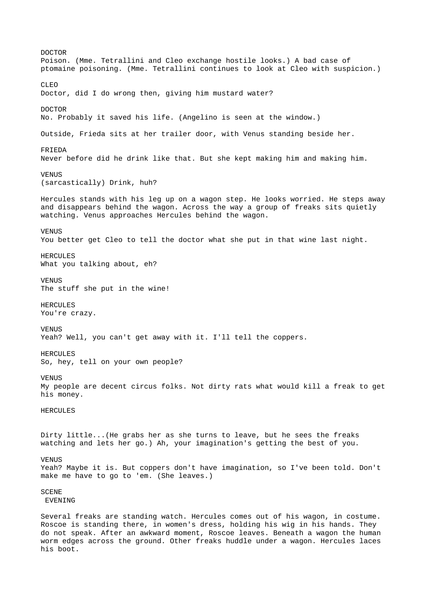DOCTOR Poison. (Mme. Tetrallini and Cleo exchange hostile looks.) A bad case of ptomaine poisoning. (Mme. Tetrallini continues to look at Cleo with suspicion.) CLEO Doctor, did I do wrong then, giving him mustard water? DOCTOR No. Probably it saved his life. (Angelino is seen at the window.) Outside, Frieda sits at her trailer door, with Venus standing beside her. FRIEDA Never before did he drink like that. But she kept making him and making him. **VENUS** (sarcastically) Drink, huh? Hercules stands with his leg up on a wagon step. He looks worried. He steps away and disappears behind the wagon. Across the way a group of freaks sits quietly watching. Venus approaches Hercules behind the wagon. VENUS You better get Cleo to tell the doctor what she put in that wine last night. **HERCULES** What you talking about, eh? **VENUS** The stuff she put in the wine! HERCULES You're crazy. VENUS Yeah? Well, you can't get away with it. I'll tell the coppers. HERCULES So, hey, tell on your own people? VENUS My people are decent circus folks. Not dirty rats what would kill a freak to get his money. HERCULES Dirty little...(He grabs her as she turns to leave, but he sees the freaks watching and lets her go.) Ah, your imagination's getting the best of you. VENUS Yeah? Maybe it is. But coppers don't have imagination, so I've been told. Don't make me have to go to 'em. (She leaves.) **SCENE**  EVENING Several freaks are standing watch. Hercules comes out of his wagon, in costume.

Roscoe is standing there, in women's dress, holding his wig in his hands. They do not speak. After an awkward moment, Roscoe leaves. Beneath a wagon the human worm edges across the ground. Other freaks huddle under a wagon. Hercules laces his boot.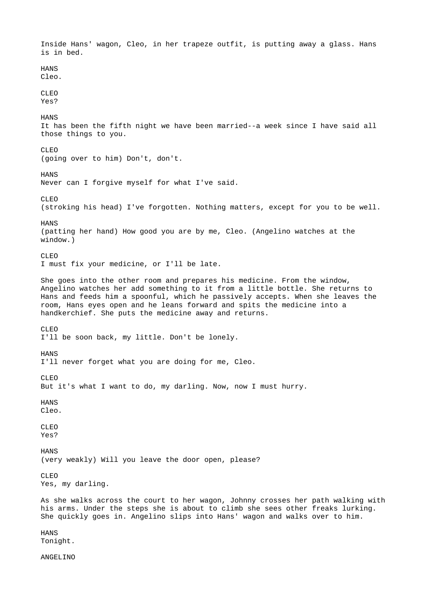Inside Hans' wagon, Cleo, in her trapeze outfit, is putting away a glass. Hans is in bed. **HANS** Cleo. CLEO Yes? **HANS** It has been the fifth night we have been married--a week since I have said all those things to you. CLEO (going over to him) Don't, don't. **HANS** Never can I forgive myself for what I've said. CLEO (stroking his head) I've forgotten. Nothing matters, except for you to be well. **HANS** (patting her hand) How good you are by me, Cleo. (Angelino watches at the window.) CLEO I must fix your medicine, or I'll be late. She goes into the other room and prepares his medicine. From the window, Angelino watches her add something to it from a little bottle. She returns to Hans and feeds him a spoonful, which he passively accepts. When she leaves the room, Hans eyes open and he leans forward and spits the medicine into a handkerchief. She puts the medicine away and returns. CLEO I'll be soon back, my little. Don't be lonely. HANS I'll never forget what you are doing for me, Cleo. CLEO But it's what I want to do, my darling. Now, now I must hurry. HANS Cleo. CLEO Yes? **HANS** (very weakly) Will you leave the door open, please? CLEO Yes, my darling. As she walks across the court to her wagon, Johnny crosses her path walking with his arms. Under the steps she is about to climb she sees other freaks lurking. She quickly goes in. Angelino slips into Hans' wagon and walks over to him. **HANS** Tonight.

ANGELINO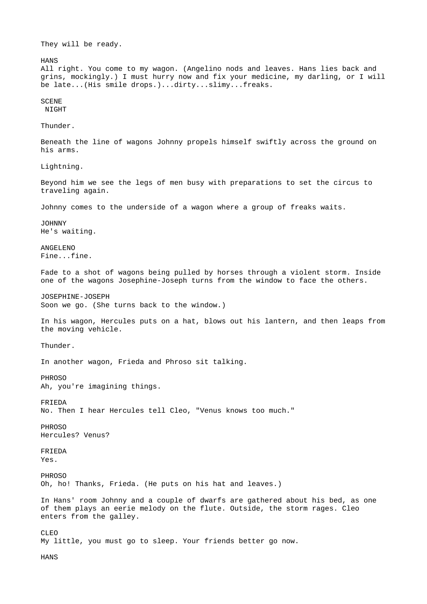They will be ready.

**HANS** 

All right. You come to my wagon. (Angelino nods and leaves. Hans lies back and grins, mockingly.) I must hurry now and fix your medicine, my darling, or I will be late...(His smile drops.)...dirty...slimy...freaks.

## **SCENE**

**NTGHT** 

Thunder.

Beneath the line of wagons Johnny propels himself swiftly across the ground on his arms.

Lightning.

Beyond him we see the legs of men busy with preparations to set the circus to traveling again.

Johnny comes to the underside of a wagon where a group of freaks waits.

JOHNNY He's waiting.

ANGELENO Fine...fine.

Fade to a shot of wagons being pulled by horses through a violent storm. Inside one of the wagons Josephine-Joseph turns from the window to face the others.

JOSEPHINE-JOSEPH Soon we go. (She turns back to the window.)

In his wagon, Hercules puts on a hat, blows out his lantern, and then leaps from the moving vehicle.

Thunder.

In another wagon, Frieda and Phroso sit talking.

PHROSO

Ah, you're imagining things.

FRIEDA

No. Then I hear Hercules tell Cleo, "Venus knows too much."

PHROSO Hercules? Venus?

FRIEDA Yes.

PHROSO

Oh, ho! Thanks, Frieda. (He puts on his hat and leaves.)

In Hans' room Johnny and a couple of dwarfs are gathered about his bed, as one of them plays an eerie melody on the flute. Outside, the storm rages. Cleo enters from the galley.

CLEO My little, you must go to sleep. Your friends better go now.

**HANS**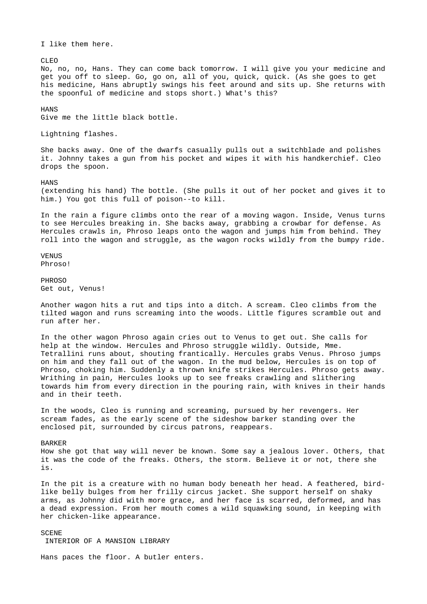I like them here.

CLEO

No, no, no, Hans. They can come back tomorrow. I will give you your medicine and get you off to sleep. Go, go on, all of you, quick, quick. (As she goes to get his medicine, Hans abruptly swings his feet around and sits up. She returns with the spoonful of medicine and stops short.) What's this?

**HANS** 

Give me the little black bottle.

Lightning flashes.

She backs away. One of the dwarfs casually pulls out a switchblade and polishes it. Johnny takes a gun from his pocket and wipes it with his handkerchief. Cleo drops the spoon.

HANS

(extending his hand) The bottle. (She pulls it out of her pocket and gives it to him.) You got this full of poison--to kill.

In the rain a figure climbs onto the rear of a moving wagon. Inside, Venus turns to see Hercules breaking in. She backs away, grabbing a crowbar for defense. As Hercules crawls in, Phroso leaps onto the wagon and jumps him from behind. They roll into the wagon and struggle, as the wagon rocks wildly from the bumpy ride.

VENUS Phroso!

**PHROSO** Get out, Venus!

Another wagon hits a rut and tips into a ditch. A scream. Cleo climbs from the tilted wagon and runs screaming into the woods. Little figures scramble out and run after her.

In the other wagon Phroso again cries out to Venus to get out. She calls for help at the window. Hercules and Phroso struggle wildly. Outside, Mme. Tetrallini runs about, shouting frantically. Hercules grabs Venus. Phroso jumps on him and they fall out of the wagon. In the mud below, Hercules is on top of Phroso, choking him. Suddenly a thrown knife strikes Hercules. Phroso gets away. Writhing in pain, Hercules looks up to see freaks crawling and slithering towards him from every direction in the pouring rain, with knives in their hands and in their teeth.

In the woods, Cleo is running and screaming, pursued by her revengers. Her scream fades, as the early scene of the sideshow barker standing over the enclosed pit, surrounded by circus patrons, reappears.

BARKER How she got that way will never be known. Some say a jealous lover. Others, that it was the code of the freaks. Others, the storm. Believe it or not, there she is.

In the pit is a creature with no human body beneath her head. A feathered, birdlike belly bulges from her frilly circus jacket. She support herself on shaky arms, as Johnny did with more grace, and her face is scarred, deformed, and has a dead expression. From her mouth comes a wild squawking sound, in keeping with her chicken-like appearance.

SCENE INTERIOR OF A MANSION LIBRARY

Hans paces the floor. A butler enters.